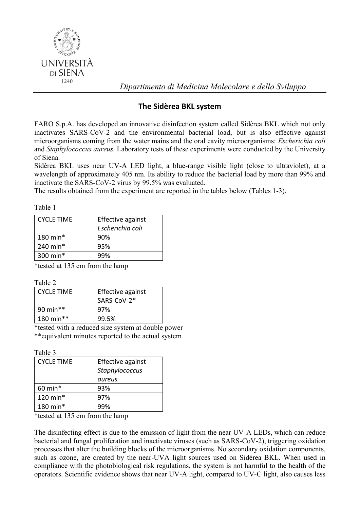

*Dipartimento di Medicina Molecolare e dello Sviluppo*

## **The Sidèrea BKL system**

FARO S.p.A. has developed an innovative disinfection system called Sidèrea BKL which not only inactivates SARS-CoV-2 and the environmental bacterial load, but is also effective against microorganisms coming from the water mains and the oral cavity microorganisms: *Escherichia coli*  and *Staphylococcus aureus.* Laboratory tests of these experiments were conducted by the University of Siena.

Sidèrea BKL uses near UV-A LED light, a blue-range visible light (close to ultraviolet), at a wavelength of approximately 405 nm. Its ability to reduce the bacterial load by more than 99% and inactivate the SARS-CoV-2 virus by 99.5% was evaluated.

The results obtained from the experiment are reported in the tables below (Tables 1-3).

| ın<br>ı.<br>и<br>۱ |  |
|--------------------|--|
|                    |  |

| <b>CYCLE TIME</b>   | Effective against<br>Escherichia coli |
|---------------------|---------------------------------------|
| $180 \text{ min}^*$ | 90%                                   |
| 240 min*            | 95%                                   |
| 300 min $*$         | 99%                                   |

\*tested at 135 cm from the lamp

Table 2

| CYCLE TIME  | Effective against |
|-------------|-------------------|
|             | SARS-CoV-2*       |
| 90 min $**$ | 97%               |
| 180 min**   | 99.5%             |

\*tested with a reduced size system at double power \*\*equivalent minutes reported to the actual system

Table 3

| <b>CYCLE TIME</b> | Effective against<br>Staphylococcus |
|-------------------|-------------------------------------|
|                   | aureus                              |
| $60$ min*         | 93%                                 |
| 120 min*          | 97%                                 |
| 180 min*          | 99%                                 |

\*tested at 135 cm from the lamp

The disinfecting effect is due to the emission of light from the near UV-A LEDs, which can reduce bacterial and fungal proliferation and inactivate viruses (such as SARS-CoV-2), triggering oxidation processes that alter the building blocks of the microorganisms. No secondary oxidation components, such as ozone, are created by the near-UVA light sources used on Sidèrea BKL. When used in compliance with the photobiological risk regulations, the system is not harmful to the health of the operators. Scientific evidence shows that near UV-A light, compared to UV-C light, also causes less